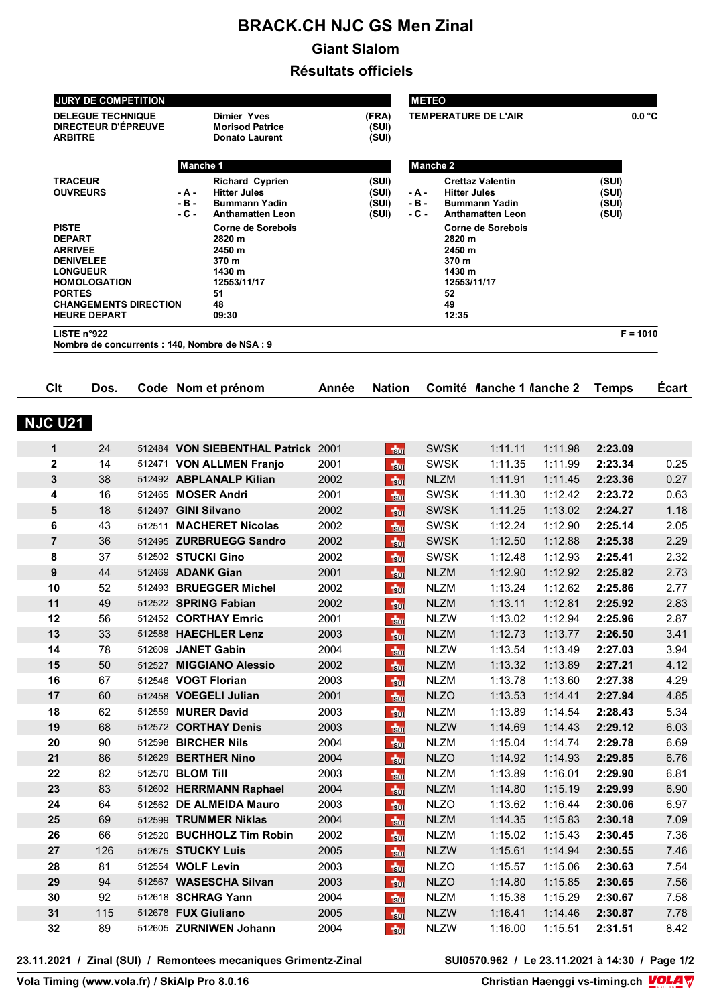## **BRACK.CH NJC GS Men Zinal Giant Slalom**

**Résultats officiels** 

|                                                                                                                                                                                                                            | JURY DE COMPETITION |                     |                                                                                                                             |                                                                                                     |              |                                  |                                                                                                                                                 | <b>METEO</b>               |                          |                                  |                    |                      |  |
|----------------------------------------------------------------------------------------------------------------------------------------------------------------------------------------------------------------------------|---------------------|---------------------|-----------------------------------------------------------------------------------------------------------------------------|-----------------------------------------------------------------------------------------------------|--------------|----------------------------------|-------------------------------------------------------------------------------------------------------------------------------------------------|----------------------------|--------------------------|----------------------------------|--------------------|----------------------|--|
| <b>DELEGUE TECHNIQUE</b><br><b>DIRECTEUR D'ÉPREUVE</b><br><b>ARBITRE</b>                                                                                                                                                   |                     |                     | <b>Dimier Yves</b><br><b>Morisod Patrice</b><br><b>Donato Laurent</b>                                                       |                                                                                                     |              | (FRA)<br>(SUI)<br>(SUI)          | <b>TEMPERATURE DE L'AIR</b>                                                                                                                     |                            |                          |                                  | 0.0 °C             |                      |  |
|                                                                                                                                                                                                                            |                     |                     | <b>Manche 1</b>                                                                                                             |                                                                                                     |              |                                  |                                                                                                                                                 |                            |                          |                                  |                    |                      |  |
| <b>TRACEUR</b><br><b>OUVREURS</b><br><b>PISTE</b><br><b>DEPART</b><br><b>ARRIVEE</b><br><b>DENIVELEE</b><br><b>LONGUEUR</b><br><b>HOMOLOGATION</b><br><b>PORTES</b><br><b>CHANGEMENTS DIRECTION</b><br><b>HEURE DEPART</b> |                     |                     | <b>Richard Cyprien</b><br><b>Hitter Jules</b><br>- A -<br>- B -<br><b>Bummann Yadin</b><br>- C -<br><b>Anthamatten Leon</b> |                                                                                                     |              | (SUI)<br>(SUI)<br>(SUI)<br>(SUI) | <b>Manche 2</b><br><b>Crettaz Valentin</b><br><b>Hitter Jules</b><br>- A -<br>- B -<br><b>Bummann Yadin</b><br>- C -<br><b>Anthamatten Leon</b> |                            |                          | (SUI)<br>(SUI)<br>(SUI)<br>(SUI) |                    |                      |  |
|                                                                                                                                                                                                                            |                     |                     |                                                                                                                             | <b>Corne de Sorebois</b><br>2820 m<br>2450 m<br>370 m<br>1430 m<br>12553/11/17<br>51<br>48<br>09:30 |              |                                  | <b>Corne de Sorebois</b><br>2820 m<br>2450 m<br>370 m<br>1430 m<br>12553/11/17<br>52<br>49<br>12:35                                             |                            |                          |                                  |                    |                      |  |
|                                                                                                                                                                                                                            | LISTE n°922         |                     |                                                                                                                             | Nombre de concurrents : 140, Nombre de NSA : 9                                                      |              |                                  |                                                                                                                                                 |                            |                          |                                  | $F = 1010$         |                      |  |
| Clt                                                                                                                                                                                                                        | Dos.                |                     |                                                                                                                             | Code Nom et prénom                                                                                  | Année        | <b>Nation</b>                    |                                                                                                                                                 |                            | Comité Manche 1 Manche 2 |                                  | <b>Temps</b>       | Écart                |  |
| <b>NJC U21</b>                                                                                                                                                                                                             |                     |                     |                                                                                                                             |                                                                                                     |              |                                  |                                                                                                                                                 |                            |                          |                                  |                    |                      |  |
| 1                                                                                                                                                                                                                          | 24                  |                     |                                                                                                                             | 512484 VON SIEBENTHAL Patrick 2001                                                                  |              | $+50$                            |                                                                                                                                                 | <b>SWSK</b>                | 1:11.11                  | 1:11.98                          | 2:23.09            |                      |  |
| $\mathbf{2}$                                                                                                                                                                                                               | 14                  |                     |                                                                                                                             | 512471 VON ALLMEN Franjo                                                                            | 2001         | $\frac{1}{20}$                   |                                                                                                                                                 | <b>SWSK</b>                | 1:11.35                  | 1:11.99                          | 2:23.34            | 0.25                 |  |
| 3                                                                                                                                                                                                                          | 38                  |                     |                                                                                                                             | 512492 ABPLANALP Kilian                                                                             | 2002         | $\frac{1}{30}$                   |                                                                                                                                                 | <b>NLZM</b>                | 1:11.91                  | 1:11.45                          | 2:23.36            | 0.27                 |  |
| 4                                                                                                                                                                                                                          | 16                  |                     |                                                                                                                             | 512465 MOSER Andri                                                                                  | 2001         | $\frac{1}{20}$                   |                                                                                                                                                 | <b>SWSK</b>                | 1:11.30                  | 1:12.42                          | 2:23.72            | 0.63                 |  |
| 5                                                                                                                                                                                                                          | 18                  | 512497 GINI Silvano |                                                                                                                             |                                                                                                     | 2002         | $\frac{1}{20}$                   |                                                                                                                                                 | <b>SWSK</b>                | 1:11.25                  | 1:13.02                          | 2:24.27            | 1.18                 |  |
| 6                                                                                                                                                                                                                          | 43                  | 512511              |                                                                                                                             | <b>MACHERET Nicolas</b>                                                                             | 2002         | $\frac{1}{30}$                   |                                                                                                                                                 | <b>SWSK</b>                | 1:12.24                  | 1:12.90                          | 2:25.14            | 2.05                 |  |
| $\overline{7}$                                                                                                                                                                                                             | 36                  |                     |                                                                                                                             | 512495 ZURBRUEGG Sandro                                                                             | 2002         | $\frac{1}{30}$                   |                                                                                                                                                 | <b>SWSK</b>                | 1:12.50                  | 1:12.88                          | 2:25.38            | 2.29                 |  |
| 8                                                                                                                                                                                                                          | 37                  |                     |                                                                                                                             | 512502 STUCKI Gino                                                                                  | 2002         | $\frac{1}{30}$                   |                                                                                                                                                 | <b>SWSK</b>                | 1:12.48                  | 1:12.93                          | 2:25.41            | 2.32                 |  |
| 9                                                                                                                                                                                                                          | 44                  |                     |                                                                                                                             | 512469 <b>ADANK Gian</b>                                                                            | 2001         | $\frac{1}{30}$                   |                                                                                                                                                 | <b>NLZM</b>                | 1:12.90                  | 1:12.92                          | 2:25.82            | 2.73                 |  |
| 10                                                                                                                                                                                                                         | 52                  |                     |                                                                                                                             | 512493 BRUEGGER Michel                                                                              | 2002         | $\frac{1}{30}$                   |                                                                                                                                                 | <b>NLZM</b>                | 1:13.24                  | 1:12.62                          | 2:25.86            | 2.77                 |  |
| 11                                                                                                                                                                                                                         | 49                  |                     |                                                                                                                             | 512522 SPRING Fabian                                                                                | 2002         | $\frac{1}{20}$                   |                                                                                                                                                 | <b>NLZM</b>                | 1:13.11                  | 1:12.81                          | 2:25.92            | 2.83                 |  |
| 12                                                                                                                                                                                                                         | 56                  |                     |                                                                                                                             | 512452 CORTHAY Emric                                                                                | 2001         | $\frac{1}{20}$                   |                                                                                                                                                 | <b>NLZW</b>                | 1:13.02                  | 1:12.94                          | 2:25.96            | 2.87                 |  |
| 13                                                                                                                                                                                                                         | 33                  |                     |                                                                                                                             | 512588 HAECHLER Lenz                                                                                | 2003         | 50                               |                                                                                                                                                 | <b>NLZM</b>                | 1:12.73                  | 1:13.77                          | 2:26.50            | 3.41                 |  |
| 14                                                                                                                                                                                                                         | 78                  |                     |                                                                                                                             | 512609 JANET Gabin                                                                                  | 2004         | $\frac{1}{30}$                   |                                                                                                                                                 | <b>NLZW</b>                | 1:13.54                  | 1:13.49                          | 2:27.03            | 3.94                 |  |
| 15                                                                                                                                                                                                                         | 50                  |                     |                                                                                                                             | 512527 MIGGIANO Alessio                                                                             | 2002         | 50                               |                                                                                                                                                 | <b>NLZM</b>                | 1:13.32                  | 1:13.89                          | 2:27.21            | 4.12                 |  |
| 16                                                                                                                                                                                                                         | 67                  |                     |                                                                                                                             | 512546 VOGT Florian                                                                                 | 2003         | $\frac{1}{20}$                   |                                                                                                                                                 | <b>NLZM</b>                | 1:13.78                  | 1:13.60                          | 2:27.38            | 4.29                 |  |
| 17                                                                                                                                                                                                                         | 60                  |                     |                                                                                                                             | 512458 VOEGELI Julian                                                                               | 2001         | 50                               |                                                                                                                                                 | <b>NLZO</b>                | 1:13.53                  | 1:14.41                          | 2:27.94            | 4.85                 |  |
| 18                                                                                                                                                                                                                         | 62                  |                     |                                                                                                                             | 512559 MURER David                                                                                  | 2003         | $\frac{1}{2}$                    |                                                                                                                                                 | <b>NLZM</b>                | 1:13.89                  | 1:14.54                          | 2:28.43            | 5.34                 |  |
| 19                                                                                                                                                                                                                         | 68                  |                     |                                                                                                                             | 512572 CORTHAY Denis                                                                                | 2003         | $\frac{1}{2}$                    |                                                                                                                                                 | <b>NLZW</b>                | 1:14.69                  | 1:14.43                          | 2:29.12            | 6.03                 |  |
| 20                                                                                                                                                                                                                         | 90                  |                     |                                                                                                                             | 512598 BIRCHER Nils                                                                                 | 2004         | 50                               |                                                                                                                                                 | NLZM                       | 1:15.04                  | 1:14.74                          | 2:29.78            | 6.69                 |  |
| 21<br>22                                                                                                                                                                                                                   | 86<br>82            | 512570 BLOM Till    |                                                                                                                             | 512629 BERTHER Nino                                                                                 | 2004<br>2003 | $\frac{1}{30}$                   |                                                                                                                                                 | <b>NLZO</b><br><b>NLZM</b> | 1:14.92<br>1:13.89       | 1:14.93<br>1:16.01               | 2:29.85<br>2:29.90 | 6.76<br>6.81         |  |
| 23                                                                                                                                                                                                                         | 83                  |                     |                                                                                                                             | 512602 HERRMANN Raphael                                                                             | 2004         | $\frac{1}{20}$<br>$\frac{1}{30}$ |                                                                                                                                                 | <b>NLZM</b>                | 1:14.80                  | 1:15.19                          | 2:29.99            | 6.90                 |  |
| 24                                                                                                                                                                                                                         | 64                  |                     |                                                                                                                             | 512562 DE ALMEIDA Mauro                                                                             | 2003         | 50                               |                                                                                                                                                 | <b>NLZO</b>                | 1:13.62                  | 1:16.44                          | 2:30.06            | 6.97                 |  |
| 25                                                                                                                                                                                                                         | 69                  |                     |                                                                                                                             | 512599 TRUMMER Niklas                                                                               | 2004         | 50                               |                                                                                                                                                 | <b>NLZM</b>                | 1:14.35                  | 1:15.83                          | 2:30.18            | 7.09                 |  |
| 26                                                                                                                                                                                                                         | 66                  |                     |                                                                                                                             | 512520 BUCHHOLZ Tim Robin                                                                           | 2002         | $\frac{1}{30}$                   |                                                                                                                                                 | <b>NLZM</b>                | 1:15.02                  | 1:15.43                          | 2:30.45            | 7.36                 |  |
| 27                                                                                                                                                                                                                         | 126                 |                     |                                                                                                                             | 512675 STUCKY Luis                                                                                  | 2005         | $\frac{1}{30}$                   |                                                                                                                                                 | <b>NLZW</b>                | 1:15.61                  | 1:14.94                          | 2:30.55            | 7.46                 |  |
|                                                                                                                                                                                                                            |                     |                     |                                                                                                                             |                                                                                                     | 2003         | $\frac{1}{30}$                   |                                                                                                                                                 | <b>NLZO</b>                | 1:15.57                  | 1:15.06                          | 2:30.63            | 7.54                 |  |
| 28                                                                                                                                                                                                                         | 81                  |                     |                                                                                                                             | 512554 WOLF Levin                                                                                   |              |                                  |                                                                                                                                                 |                            |                          |                                  |                    |                      |  |
| 29                                                                                                                                                                                                                         | 94                  |                     |                                                                                                                             | 512567 WASESCHA Silvan                                                                              | 2003         |                                  |                                                                                                                                                 | <b>NLZO</b>                | 1:14.80                  | 1:15.85                          | 2:30.65            |                      |  |
| 30                                                                                                                                                                                                                         | 92                  |                     |                                                                                                                             | 512618 SCHRAG Yann                                                                                  | 2004         | $\frac{1}{20}$<br>$\frac{1}{2}$  |                                                                                                                                                 | NLZM                       | 1:15.38                  | 1:15.29                          | 2:30.67            |                      |  |
| 31                                                                                                                                                                                                                         | 115                 |                     |                                                                                                                             | 512678 FUX Giuliano                                                                                 | 2005         | $t_{\rm 50}$                     |                                                                                                                                                 | <b>NLZW</b>                | 1:16.41                  | 1:14.46                          | 2:30.87            | 7.56<br>7.58<br>7.78 |  |

23.11.2021 / Zinal (SUI) / Remontees mecaniques Grimentz-Zinal

**SUI0570.962** / Le 23.11.2021 à 14:30 / Page 1/2<br>Christian Haenggi vs-timing.ch **VOLA**